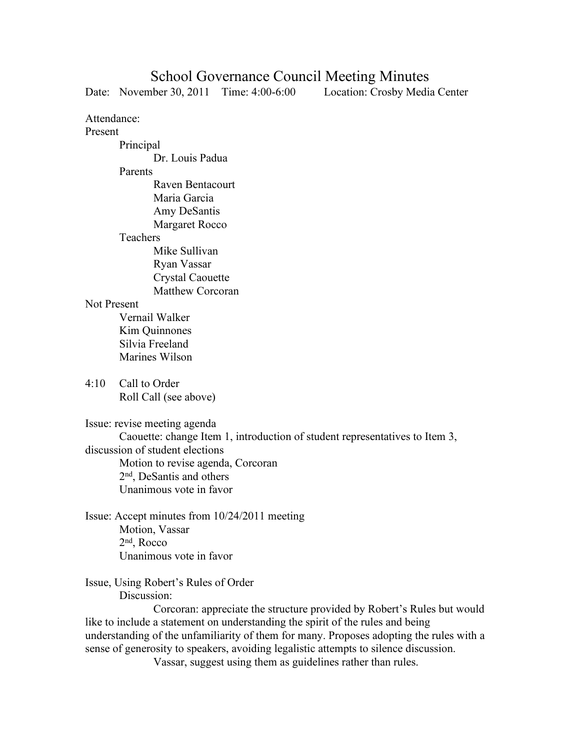## School Governance Council Meeting Minutes

Date: November 30, 2011 Time: 4:00-6:00 Location: Crosby Media Center Attendance: Present Principal Dr. Louis Padua Parents Raven Bentacourt Maria Garcia Amy DeSantis Margaret Rocco Teachers Mike Sullivan Ryan Vassar Crystal Caouette Matthew Corcoran Not Present Vernail Walker Kim Quinnones Silvia Freeland Marines Wilson 4:10 Call to Order Roll Call (see above) Issue: revise meeting agenda Caouette: change Item 1, introduction of student representatives to Item 3, discussion of student elections Motion to revise agenda, Corcoran 2nd, DeSantis and others Unanimous vote in favor Issue: Accept minutes from 10/24/2011 meeting Motion, Vassar 2nd, Rocco Unanimous vote in favor Issue, Using Robert's Rules of Order Discussion:

 Corcoran: appreciate the structure provided by Robert's Rules but would like to include a statement on understanding the spirit of the rules and being understanding of the unfamiliarity of them for many. Proposes adopting the rules with a sense of generosity to speakers, avoiding legalistic attempts to silence discussion.

Vassar, suggest using them as guidelines rather than rules.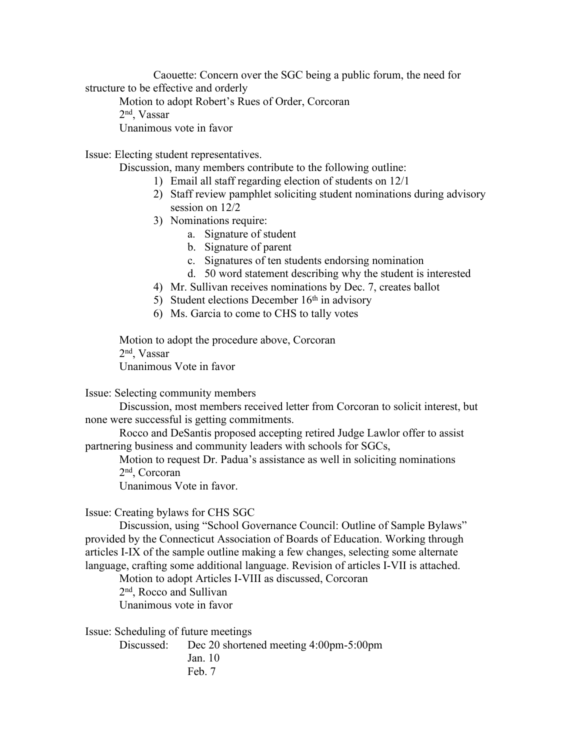Caouette: Concern over the SGC being a public forum, the need for structure to be effective and orderly Motion to adopt Robert's Rues of Order, Corcoran 2nd, Vassar Unanimous vote in favor

Issue: Electing student representatives.

- Discussion, many members contribute to the following outline:
	- 1) Email all staff regarding election of students on 12/1
	- 2) Staff review pamphlet soliciting student nominations during advisory session on 12/2
	- 3) Nominations require:
		- a. Signature of student
		- b. Signature of parent
		- c. Signatures of ten students endorsing nomination
		- d. 50 word statement describing why the student is interested
	- 4) Mr. Sullivan receives nominations by Dec. 7, creates ballot
	- 5) Student elections December  $16<sup>th</sup>$  in advisory
	- 6) Ms. Garcia to come to CHS to tally votes

Motion to adopt the procedure above, Corcoran 2nd, Vassar Unanimous Vote in favor

Issue: Selecting community members

 Discussion, most members received letter from Corcoran to solicit interest, but none were successful is getting commitments.

 Rocco and DeSantis proposed accepting retired Judge Lawlor offer to assist partnering business and community leaders with schools for SGCs,

 Motion to request Dr. Padua's assistance as well in soliciting nominations 2nd, Corcoran

Unanimous Vote in favor.

Issue: Creating bylaws for CHS SGC

 Discussion, using "School Governance Council: Outline of Sample Bylaws" provided by the Connecticut Association of Boards of Education. Working through articles I-IX of the sample outline making a few changes, selecting some alternate language, crafting some additional language. Revision of articles I-VII is attached.

Motion to adopt Articles I-VIII as discussed, Corcoran 2nd, Rocco and Sullivan Unanimous vote in favor

Issue: Scheduling of future meetings

 Discussed: Dec 20 shortened meeting 4:00pm-5:00pm Jan. 10 Feb. 7